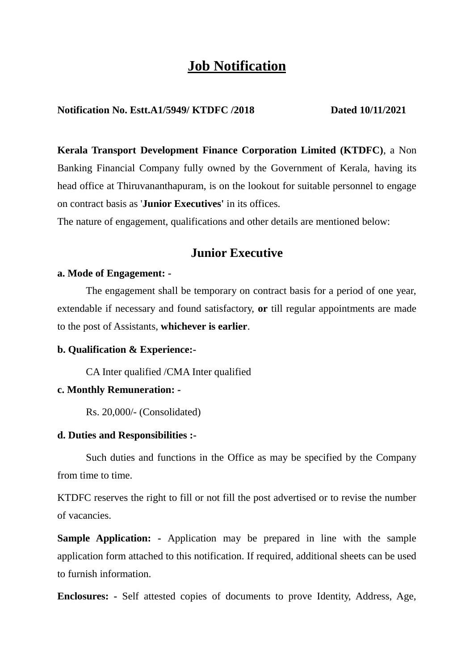# **Job Notification**

## **Notification No. Estt.A1/5949/ KTDFC /2018 Dated 10/11/2021**

**Kerala Transport Development Finance Corporation Limited (KTDFC)**, a Non Banking Financial Company fully owned by the Government of Kerala, having its head office at Thiruvananthapuram, is on the lookout for suitable personnel to engage on contract basis as '**Junior Executives'** in its offices.

The nature of engagement, qualifications and other details are mentioned below:

# **Junior Executive**

#### **a. Mode of Engagement: -**

The engagement shall be temporary on contract basis for a period of one year, extendable if necessary and found satisfactory, **or** till regular appointments are made to the post of Assistants, **whichever is earlier**.

#### **b. Qualification & Experience:-**

CA Inter qualified /CMA Inter qualified

#### **c. Monthly Remuneration: -**

Rs. 20,000/- (Consolidated)

#### **d. Duties and Responsibilities :-**

Such duties and functions in the Office as may be specified by the Company from time to time.

KTDFC reserves the right to fill or not fill the post advertised or to revise the number of vacancies.

**Sample Application: -** Application may be prepared in line with the sample application form attached to this notification. If required, additional sheets can be used to furnish information.

**Enclosures: -** Self attested copies of documents to prove Identity, Address, Age,